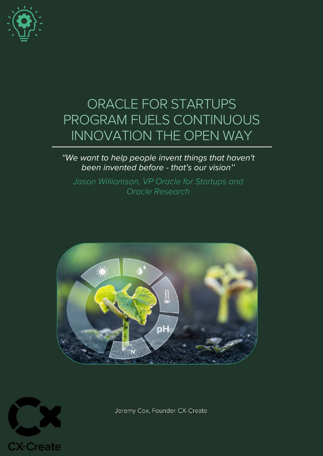

# ORACLE FOR STARTUPS PROGRAM FUELS CONTINUOUS INNOVATION THE OPEN WAY

# ''We want to help people invent things that haven't been invented before - that's our vision''

Jason Williamson, VP Oracle for Startups and Oracle Research





Jeremy Cox, Founder CX-Create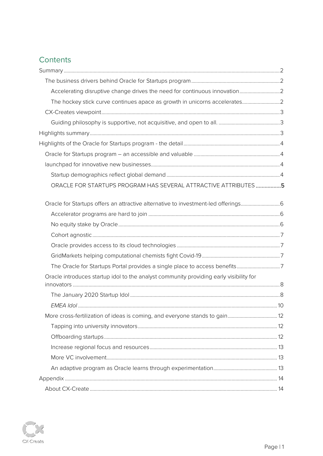# Contents

| ORACLE FOR STARTUPS PROGRAM HAS SEVERAL ATTRACTIVE ATTRIBUTES5                         |  |
|----------------------------------------------------------------------------------------|--|
|                                                                                        |  |
|                                                                                        |  |
|                                                                                        |  |
|                                                                                        |  |
|                                                                                        |  |
|                                                                                        |  |
| The Oracle for Startups Portal provides a single place to access benefits7             |  |
| Oracle introduces startup idol to the analyst community providing early visibility for |  |
|                                                                                        |  |
|                                                                                        |  |
| More cross-fertilization of ideas is coming, and everyone stands to gain 12            |  |
|                                                                                        |  |
|                                                                                        |  |
|                                                                                        |  |
|                                                                                        |  |
|                                                                                        |  |
|                                                                                        |  |
|                                                                                        |  |

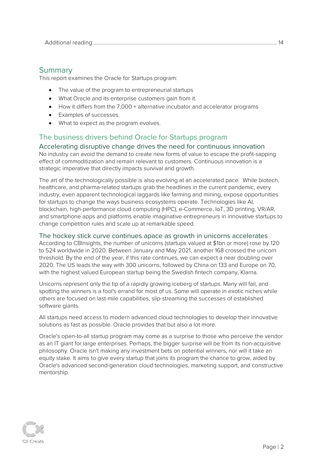[Additional reading:.............................................................................................................................................](#page-14-2) 14

# <span id="page-2-0"></span>**Summary**

This report examines the Oracle for Startups program:

- The value of the program to entrepreneurial startups
- What Oracle and its enterprise customers gain from it.
- How it differs from the 7,000 + alternative incubator and accelerator programs
- Examples of successes.
- What to expect as the program evolves.

# <span id="page-2-1"></span>The business drivers behind Oracle for Startups program

<span id="page-2-2"></span>Accelerating disruptive change drives the need for continuous innovation No industry can avoid the demand to create new forms of value to escape the profit-sapping effect of commoditization and remain relevant to customers. Continuous innovation is a strategic imperative that directly impacts survival and growth.

The art of the technologically possible is also evolving at an accelerated pace. While biotech, healthcare, and pharma-related startups grab the headlines in the current pandemic, every industry, even apparent technological laggards like farming and mining, expose opportunities for startups to change the ways business ecosystems operate. Technologies like AI, blockchain, high-performance cloud computing (HPC), e-Commerce, IoT, 3D printing, VR/AR, and smartphone apps and platforms enable imaginative entrepreneurs in innovative startups to change competition rules and scale up at remarkable speed.

<span id="page-2-3"></span>The hockey stick curve continues apace as growth in unicorns accelerates

According to CBInsights, the number of unicorns (startups valued at \$1bn or more) rose by 120 to 524 worldwide in 2020. Between January and May 2021, another 168 crossed the unicorn threshold. By the end of the year, if this rate continues, we can expect a near doubling over 2020. The US leads the way with 300 unicorns, followed by China on 133 and Europe on 70, with the highest valued European startup being the Swedish fintech company, Klarna.

Unicorns represent only the tip of a rapidly growing iceberg of startups. Many will fail, and spotting the winners is a fool's errand for most of us. Some will operate in exotic niches while others are focused on last-mile capabilities, slip-streaming the successes of established software giants.

All startups need access to modern advanced cloud technologies to develop their innovative solutions as fast as possible. Oracle provides that but also a lot more.

Oracle's open-to-all startup program may come as a surprise to those who perceive the vendor as an IT giant for large enterprises. Perhaps, the bigger surprise will be from its non-acquisitive philosophy. Oracle isn't making any investment bets on potential winners, nor will it take an equity stake. It aims to give every startup that joins its program the chance to grow, aided by Oracle's advanced second-generation cloud technologies, marketing support, and constructive mentorship.

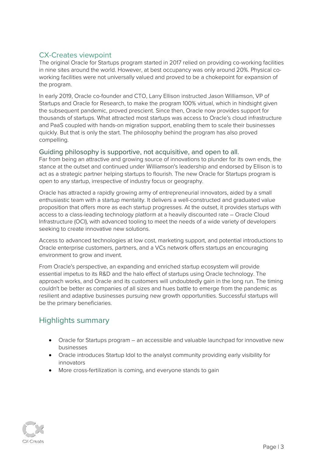# <span id="page-3-0"></span>CX-Creates viewpoint

The original Oracle for Startups program started in 2017 relied on providing co-working facilities in nine sites around the world. However, at best occupancy was only around 20%. Physical coworking facilities were not universally valued and proved to be a chokepoint for expansion of the program.

In early 2019, Oracle co-founder and CTO, Larry Ellison instructed Jason Williamson, VP of Startups and Oracle for Research, to make the program 100% virtual, which in hindsight given the subsequent pandemic, proved prescient. Since then, Oracle now provides support for thousands of startups. What attracted most startups was access to Oracle's cloud infrastructure and PaaS coupled with hands-on migration support, enabling them to scale their businesses quickly. But that is only the start. The philosophy behind the program has also proved compelling.

#### <span id="page-3-1"></span>Guiding philosophy is supportive, not acquisitive, and open to all.

Far from being an attractive and growing source of innovations to plunder for its own ends, the stance at the outset and continued under Williamson's leadership and endorsed by Ellison is to act as a strategic partner helping startups to flourish. The new Oracle for Startups program is open to any startup, irrespective of industry focus or geography.

Oracle has attracted a rapidly growing army of entrepreneurial innovators, aided by a small enthusiastic team with a startup mentality. It delivers a well-constructed and graduated value proposition that offers more as each startup progresses. At the outset, it provides startups with access to a class-leading technology platform at a heavily discounted rate – Oracle Cloud Infrastructure (OCI), with advanced tooling to meet the needs of a wide variety of developers seeking to create innovative new solutions.

Access to advanced technologies at low cost, marketing support, and potential introductions to Oracle enterprise customers, partners, and a VCs network offers startups an encouraging environment to grow and invent.

From Oracle's perspective, an expanding and enriched startup ecosystem will provide essential impetus to its R&D and the halo effect of startups using Oracle technology. The approach works, and Oracle and its customers will undoubtedly gain in the long run. The timing couldn't be better as companies of all sizes and hues battle to emerge from the pandemic as resilient and adaptive businesses pursuing new growth opportunities. Successful startups will be the primary beneficiaries.

# <span id="page-3-2"></span>Highlights summary

- Oracle for Startups program an accessible and valuable launchpad for innovative new businesses
- Oracle introduces Startup Idol to the analyst community providing early visibility for innovators
- More cross-fertilization is coming, and everyone stands to gain

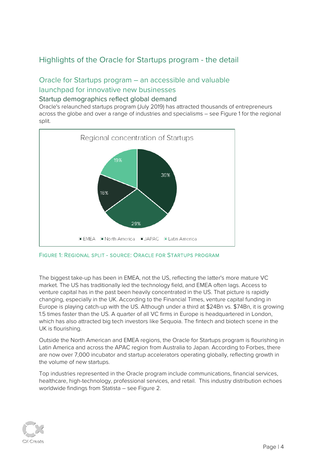# <span id="page-4-0"></span>Highlights of the Oracle for Startups program - the detail

# <span id="page-4-2"></span><span id="page-4-1"></span>Oracle for Startups program – an accessible and valuable launchpad for innovative new businesses

#### <span id="page-4-3"></span>Startup demographics reflect global demand

Oracle's relaunched startups program (July 2019) has attracted thousands of entrepreneurs across the globe and over a range of industries and specialisms – see Figure 1 for the regional split.





The biggest take-up has been in EMEA, not the US, reflecting the latter's more mature VC market. The US has traditionally led the technology field, and EMEA often lags. Access to venture capital has in the past been heavily concentrated in the US. That picture is rapidly changing, especially in the UK. According to the Financial Times, venture capital funding in Europe is playing catch-up with the US. Although under a third at \$24Bn vs. \$74Bn, it is growing 1.5 times faster than the US. A quarter of all VC firms in Europe is headquartered in London, which has also attracted big tech investors like Sequoia. The fintech and biotech scene in the UK is flourishing.

Outside the North American and EMEA regions, the Oracle for Startups program is flourishing in Latin America and across the APAC region from Australia to Japan. According to Forbes, there are now over 7,000 incubator and startup accelerators operating globally, reflecting growth in the volume of new startups.

Top industries represented in the Oracle program include communications, financial services, healthcare, high-technology, professional services, and retail. This industry distribution echoes worldwide findings from Statista – see Figure 2.

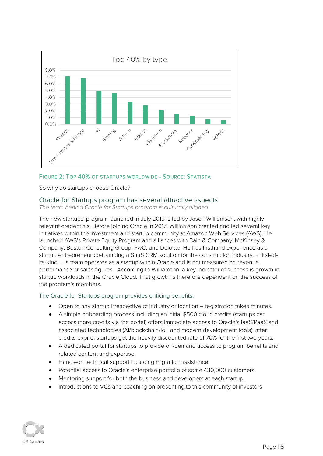



So why do startups choose Oracle?

#### Oracle for Startups program has several attractive aspects

The team behind Oracle for Startups program is culturally aligned

The new startups' program launched in July 2019 is led by Jason Williamson, with highly relevant credentials. Before joining Oracle in 2017, Williamson created and led several key initiatives within the investment and startup community at Amazon Web Services (AWS). He launched AWS's Private Equity Program and alliances with Bain & Company, McKinsey & Company, Boston Consulting Group, PwC, and Deloitte. He has firsthand experience as a startup entrepreneur co-founding a SaaS CRM solution for the construction industry, a first-ofits-kind. His team operates as a startup within Oracle and is not measured on revenue performance or sales figures. According to Williamson, a key indicator of success is growth in startup workloads in the Oracle Cloud. That growth is therefore dependent on the success of the program's members.

The Oracle for Startups program provides enticing benefits:

- Open to any startup irrespective of industry or location registration takes minutes.
- A simple onboarding process including an initial \$500 cloud credits (startups can access more credits via the portal) offers immediate access to Oracle's IaaS/PaaS and associated technologies (AI/blockchain/IoT and modern development tools); after credits expire, startups get the heavily discounted rate of 70% for the first two years.
- A dedicated portal for startups to provide on-demand access to program benefits and related content and expertise.
- Hands-on technical support including migration assistance
- Potential access to Oracle's enterprise portfolio of some 430,000 customers
- Mentoring support for both the business and developers at each startup.
- Introductions to VCs and coaching on presenting to this community of investors

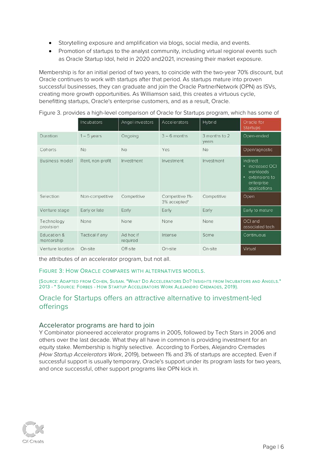- Storytelling exposure and amplification via blogs, social media, and events.
- Promotion of startups to the analyst community, including virtual regional events such as Oracle Startup Idol, held in 2020 and2021, increasing their market exposure.

Membership is for an initial period of two years, to coincide with the two-year 70% discount, but Oracle continues to work with startups after that period. As startups mature into proven successful businesses, they can graduate and join the Oracle PartnerNetwork (OPN) as ISVs, creating more growth opportunities. As Williamson said, this creates a virtuous cycle, benefitting startups, Oracle's enterprise customers, and as a result, Oracle.

Figure 3. provides a high-level comparison of Oracle for Startups program, which has some of

|                           | Incubators       | Angel investors       | Accelerators                    | Hybrid                 | Oracle for<br><b>Startups</b>                                                                   |
|---------------------------|------------------|-----------------------|---------------------------------|------------------------|-------------------------------------------------------------------------------------------------|
| Duration                  | $1 - 5$ years    | Ongoing               | $3 - 6$ months                  | 3 months to 2<br>years | Open-ended                                                                                      |
| Cohorts                   | No.              | No                    | Yes:                            | No                     | Open/agnostic                                                                                   |
| <b>Business model</b>     | Rent, non-profit | Investment            | Investment                      | Investment             | Indirect<br>increased OCI<br>۰<br>workloads<br>extensions to<br>٠<br>enterprise<br>applications |
| Selection                 | Non-competitive  | Competitive           | Competitive 1%-<br>3% accepted* | Competitive            | Open                                                                                            |
| Venture stage             | Early or late    | Early                 | Early                           | Early                  | Early to mature                                                                                 |
| Technology<br>provision   | None             | None                  | None                            | None                   | OCI and<br>associated tech                                                                      |
| Education &<br>mentorship | Tactical if any  | Ad hoc if<br>required | Intense                         | Some                   | Continuous                                                                                      |
| Venture location          | On-site          | Off-site              | On-site                         | On-site                | Virtual                                                                                         |

the attributes of an accelerator program, but not all.

#### FIGURE 3: HOW ORACLE COMPARES WITH ALTERNATIVES MODELS.

(SOURCE: ADAPTED FROM COHEN, SUSAN. "WHAT DO ACCELERATORS DO? INSIGHTS FROM INCUBATORS AND ANGELS." 2013 - \* SOURCE: FORBES - HOW STARTUP ACCELERATORS WORK ALEJANDRO CREMADES, 2019).

## <span id="page-6-0"></span>Oracle for Startups offers an attractive alternative to investment-led offerings

#### <span id="page-6-1"></span>Accelerator programs are hard to join

Y Combinator pioneered accelerator programs in 2005, followed by Tech Stars in 2006 and others over the last decade. What they all have in common is providing investment for an equity stake. Membership is highly selective. According to Forbes, Alejandro Cremades (How Startup Accelerators Work, 2019), between 1% and 3% of startups are accepted. Even if successful support is usually temporary, Oracle's support under its program lasts for two years, and once successful, other support programs like OPN kick in.

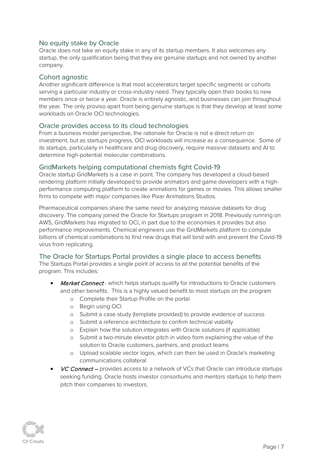### <span id="page-7-0"></span>No equity stake by Oracle

Oracle does not take an equity stake in any of its startup members. It also welcomes any startup, the only qualification being that they are genuine startups and not owned by another company.

#### <span id="page-7-1"></span>Cohort agnostic

Another significant difference is that most accelerators target specific segments or cohorts serving a particular industry or cross-industry need. They typically open their books to new members once or twice a year. Oracle is entirely agnostic, and businesses can join throughout the year. The only proviso apart from being genuine startups is that they develop at least some workloads on Oracle OCI technologies.

#### <span id="page-7-2"></span>Oracle provides access to its cloud technologies

From a business model perspective, the rationale for Oracle is not a direct return on investment, but as startups progress, OCI workloads will increase as a consequence. Some of its startups, particularly in healthcare and drug discovery, require massive datasets and AI to determine high-potential molecular combinations.

#### <span id="page-7-3"></span>GridMarkets helping computational chemists fight Covid-19

Oracle startup GridMarkets is a case in point. The company has developed a cloud-based rendering platform initially developed to provide animators and game developers with a highperformance computing platform to create animations for games or movies. This allows smaller firms to compete with major companies like Pixar Animations Studios.

Pharmaceutical companies share the same need for analyzing massive datasets for drug discovery. The company joined the Oracle for Startups program in 2018. Previously running on AWS, GridMarkets has migrated to OCI, in part due to the economies it provides but also performance improvements. Chemical engineers use the GridMarkets platform to compute billions of chemical combinations to find new drugs that will bind with and prevent the Covid-19 virus from replicating.

#### <span id="page-7-4"></span>The Oracle for Startups Portal provides a single place to access benefits

The Startups Portal provides a single point of access to all the potential benefits of the program. This includes:

- Market Connect which helps startups qualify for introductions to Oracle customers and other benefits. This is a highly valued benefit to most startups on the program
	- o Complete their Startup Profile on the portal
	- o Begin using OCI
	- o Submit a case study (template provided) to provide evidence of success
	- o Submit a reference architecture to confirm technical viability
	- o Explain how the solution integrates with Oracle solutions (if applicable)
	- o Submit a two-minute elevator pitch in video form explaining the value of the solution to Oracle customers, partners, and product teams
	- o Upload scalable vector logos, which can then be used in Oracle's marketing communications collateral
- VC Connect provides access to a network of VCs that Oracle can introduce startups seeking funding. Oracle hosts investor consortiums and mentors startups to help them pitch their companies to investors.

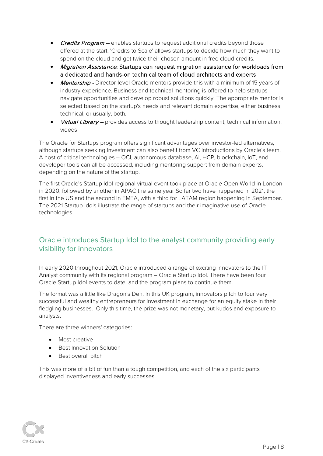- **Credits Program** enables startups to request additional credits beyond those offered at the start. 'Credits to Scale' allows startups to decide how much they want to spend on the cloud and get twice their chosen amount in free cloud credits.
- Migration Assistance: Startups can request migration assistance for workloads from a dedicated and hands-on technical team of cloud architects and experts
- Mentorship Director-level Oracle mentors provide this with a minimum of 15 years of industry experience. Business and technical mentoring is offered to help startups navigate opportunities and develop robust solutions quickly. The appropriate mentor is selected based on the startup's needs and relevant domain expertise, either business, technical, or usually, both.
- **Virtual Library –** provides access to thought leadership content, technical information, videos

The Oracle for Startups program offers significant advantages over investor-led alternatives, although startups seeking investment can also benefit from VC introductions by Oracle's team. A host of critical technologies – OCI, autonomous database, AI, HCP, blockchain, IoT, and developer tools can all be accessed, including mentoring support from domain experts, depending on the nature of the startup.

The first Oracle's Startup Idol regional virtual event took place at Oracle Open World in London in 2020, followed by another in APAC the same year So far two have happened in 2021, the first in the US and the second in EMEA, with a third for LATAM region happening in September. The 2021 Startup Idols illustrate the range of startups and their imaginative use of Oracle technologies.

# <span id="page-8-0"></span>Oracle introduces Startup Idol to the analyst community providing early visibility for innovators

In early 2020 throughout 2021, Oracle introduced a range of exciting innovators to the IT Analyst community with its regional program – Oracle Startup Idol. There have been four Oracle Startup Idol events to date, and the program plans to continue them.

The format was a little like Dragon's Den. In this UK program, innovators pitch to four very successful and wealthy entrepreneurs for investment in exchange for an equity stake in their fledgling businesses. Only this time, the prize was not monetary, but kudos and exposure to analysts.

There are three winners' categories:

- Most creative
- Best Innovation Solution
- Best overall pitch

This was more of a bit of fun than a tough competition, and each of the six participants displayed inventiveness and early successes.

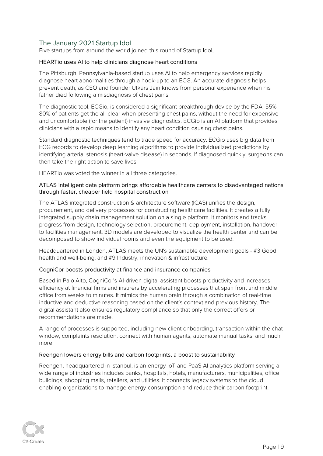## <span id="page-9-0"></span>The January 2021 Startup Idol

Five startups from around the world joined this round of Startup Idol,

#### HEARTio uses AI to help clinicians diagnose heart conditions

The Pittsburgh, Pennsylvania-based startup uses AI to help emergency services rapidly diagnose heart abnormalities through a hook-up to an ECG. An accurate diagnosis helps prevent death, as CEO and founder Utkars Jain knows from personal experience when his father died following a misdiagnosis of chest pains.

The diagnostic tool, ECGio, is considered a significant breakthrough device by the FDA. 55% - 80% of patients get the all-clear when presenting chest pains, without the need for expensive and uncomfortable (for the patient) invasive diagnostics. ECGio is an AI platform that provides clinicians with a rapid means to identify any heart condition causing chest pains.

Standard diagnostic techniques tend to trade speed for accuracy. ECGio uses big data from ECG records to develop deep learning algorithms to provide individualized predictions by identifying arterial stenosis (heart-valve disease) in seconds. If diagnosed quickly, surgeons can then take the right action to save lives.

HEARTio was voted the winner in all three categories.

#### ATLAS intelligent data platform brings affordable healthcare centers to disadvantaged nations through faster, cheaper field hospital construction

The ATLAS integrated construction & architecture software (ICAS) unifies the design, procurement, and delivery processes for constructing healthcare facilities. It creates a fully integrated supply chain management solution on a single platform. It monitors and tracks progress from design, technology selection, procurement, deployment, installation, handover to facilities management. 3D models are developed to visualize the health center and can be decomposed to show individual rooms and even the equipment to be used.

Headquartered in London, ATLAS meets the UN's sustainable development goals - #3 Good health and well-being, and #9 Industry, innovation & infrastructure.

#### CogniCor boosts productivity at finance and insurance companies

Based in Palo Alto, CogniCor's AI-driven digital assistant boosts productivity and increases efficiency at financial firms and insurers by accelerating processes that span front and middle office from weeks to minutes. It mimics the human brain through a combination of real-time inductive and deductive reasoning based on the client's context and previous history. The digital assistant also ensures regulatory compliance so that only the correct offers or recommendations are made.

A range of processes is supported, including new client onboarding, transaction within the chat window, complaints resolution, connect with human agents, automate manual tasks, and much more.

#### Reengen lowers energy bills and carbon footprints, a boost to sustainability

Reengen, headquartered in Istanbul, is an energy IoT and PaaS AI analytics platform serving a wide range of industries includes banks, hospitals, hotels, manufacturers, municipalities, office buildings, shopping malls, retailers, and utilities. It connects legacy systems to the cloud enabling organizations to manage energy consumption and reduce their carbon footprint.

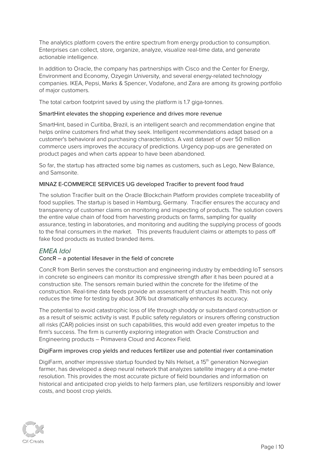The analytics platform covers the entire spectrum from energy production to consumption. Enterprises can collect, store, organize, analyze, visualize real-time data, and generate actionable intelligence.

In addition to Oracle, the company has partnerships with Cisco and the Center for Energy, Environment and Economy, Ozyegin University, and several energy-related technology companies. IKEA, Pepsi, Marks & Spencer, Vodafone, and Zara are among its growing portfolio of major customers.

The total carbon footprint saved by using the platform is 1.7 giga-tonnes.

#### SmartHint elevates the shopping experience and drives more revenue

SmartHint, based in Curitiba, Brazil, is an intelligent search and recommendation engine that helps online customers find what they seek. Intelligent recommendations adapt based on a customer's behavioral and purchasing characteristics. A vast dataset of over 50 million commerce users improves the accuracy of predictions. Urgency pop-ups are generated on product pages and when carts appear to have been abandoned.

So far, the startup has attracted some big names as customers, such as Lego, New Balance, and Samsonite.

#### MINAZ E-COMMERCE SERVICES UG developed Tracifier to prevent food fraud

The solution Tracifier built on the Oracle Blockchain Platform provides complete traceability of food supplies. The startup is based in Hamburg, Germany. Tracifier ensures the accuracy and transparency of customer claims on monitoring and inspecting of products. The solution covers the entire value chain of food from harvesting products on farms, sampling for quality assurance, testing in laboratories, and monitoring and auditing the supplying process of goods to the final consumers in the market. This prevents fraudulent claims or attempts to pass off fake food products as trusted branded items.

## <span id="page-10-0"></span>EMEA Idol

#### ConcR – a potential lifesaver in the field of concrete

ConcR from Berlin serves the construction and engineering industry by embedding IoT sensors in concrete so engineers can monitor its compressive strength after it has been poured at a construction site. The sensors remain buried within the concrete for the lifetime of the construction. Real-time data feeds provide an assessment of structural health. This not only reduces the time for testing by about 30% but dramatically enhances its accuracy.

The potential to avoid catastrophic loss of life through shoddy or substandard construction or as a result of seismic activity is vast. If public safety regulators or insurers offering construction all risks (CAR) policies insist on such capabilities, this would add even greater impetus to the firm's success. The firm is currently exploring integration with Oracle Construction and Engineering products – Primavera Cloud and Aconex Field.

#### DigiFarm improves crop yields and reduces fertilizer use and potential river contamination

DigiFarm, another impressive startup founded by Nils Helset, a 15<sup>th</sup> generation Norwegian farmer, has developed a deep neural network that analyzes satellite imagery at a one-meter resolution. This provides the most accurate picture of field boundaries and information on historical and anticipated crop yields to help farmers plan, use fertilizers responsibly and lower costs, and boost crop yields.

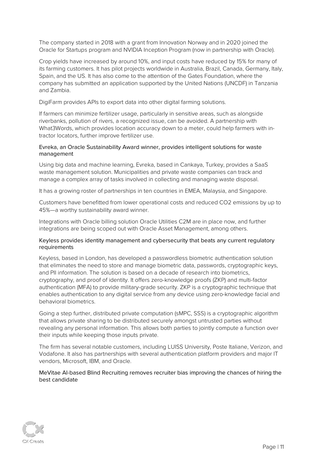The company started in 2018 with a grant from Innovation Norway and in 2020 joined the Oracle for Startups program and NVIDIA Inception Program (now in partnership with Oracle).

Crop yields have increased by around 10%, and input costs have reduced by 15% for many of its farming customers. It has pilot projects worldwide in Australia, Brazil, Canada, Germany, Italy, Spain, and the US. It has also come to the attention of the Gates Foundation, where the company has submitted an application supported by the United Nations (UNCDF) in Tanzania and Zambia.

DigiFarm provides APIs to export data into other digital farming solutions.

If farmers can minimize fertilizer usage, particularly in sensitive areas, such as alongside riverbanks, pollution of rivers, a recognized issue, can be avoided. A partnership with What3Words, which provides location accuracy down to a meter, could help farmers with intractor locators, further improve fertilizer use.

#### Evreka, an Oracle Sustainability Award winner, provides intelligent solutions for waste management

Using big data and machine learning, Evreka, based in Cankaya, Turkey, provides a SaaS waste management solution. Municipalities and private waste companies can track and manage a complex array of tasks involved in collecting and managing waste disposal.

It has a growing roster of partnerships in ten countries in EMEA, Malaysia, and Singapore.

Customers have benefitted from lower operational costs and reduced CO2 emissions by up to 45%—a worthy sustainability award winner.

Integrations with Oracle billing solution Oracle Utilities C2M are in place now, and further integrations are being scoped out with Oracle Asset Management, among others.

#### Keyless provides identity management and cybersecurity that beats any current regulatory requirements

Keyless, based in London, has developed a passwordless biometric authentication solution that eliminates the need to store and manage biometric data, passwords, cryptographic keys, and PII information. The solution is based on a decade of research into biometrics, cryptography, and proof of identity. It offers zero-knowledge proofs (ZKP) and multi-factor authentication (MFA) to provide military-grade security. ZKP is a cryptographic technique that enables authentication to any digital service from any device using zero-knowledge facial and behavioral biometrics.

Going a step further, distributed private computation (sMPC, SSS) is a cryptographic algorithm that allows private sharing to be distributed securely amongst untrusted parties without revealing any personal information. This allows both parties to jointly compute a function over their inputs while keeping those inputs private.

The firm has several notable customers, including LUISS University, Poste Italiane, Verizon, and Vodafone. It also has partnerships with several authentication platform providers and major IT vendors, Microsoft, IBM, and Oracle.

MeVitae AI-based Blind Recruiting removes recruiter bias improving the chances of hiring the best candidate

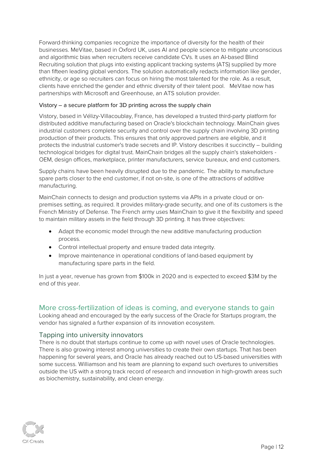Forward-thinking companies recognize the importance of diversity for the health of their businesses. MeVitae, based in Oxford UK, uses AI and people science to mitigate unconscious and algorithmic bias when recruiters receive candidate CVs. It uses an AI-based Blind Recruiting solution that plugs into existing applicant tracking systems (ATS) supplied by more than fifteen leading global vendors. The solution automatically redacts information like gender, ethnicity, or age so recruiters can focus on hiring the most talented for the role. As a result, clients have enriched the gender and ethnic diversity of their talent pool. MeVitae now has partnerships with Microsoft and Greenhouse, an ATS solution provider.

#### Vistory – a secure platform for 3D printing across the supply chain

Vistory, based in Vélizy-Villacoublay, France, has developed a trusted third-party platform for distributed additive manufacturing based on Oracle's blockchain technology. MainChain gives industrial customers complete security and control over the supply chain involving 3D printing production of their products. This ensures that only approved partners are eligible, and it protects the industrial customer's trade secrets and IP. Vistory describes it succinctly – building technological bridges for digital trust. MainChain bridges all the supply chain's stakeholders - OEM, design offices, marketplace, printer manufacturers, service bureaux, and end customers.

Supply chains have been heavily disrupted due to the pandemic. The ability to manufacture spare parts closer to the end customer, if not on-site, is one of the attractions of additive manufacturing.

MainChain connects to design and production systems via APIs in a private cloud or onpremises setting, as required. It provides military-grade security, and one of its customers is the French Ministry of Defense. The French army uses MainChain to give it the flexibility and speed to maintain military assets in the field through 3D printing. It has three objectives:

- Adapt the economic model through the new additive manufacturing production process.
- Control intellectual property and ensure traded data integrity.
- Improve maintenance in operational conditions of land-based equipment by manufacturing spare parts in the field.

In just a year, revenue has grown from \$100k in 2020 and is expected to exceed \$3M by the end of this year.

# <span id="page-12-0"></span>More cross-fertilization of ideas is coming, and everyone stands to gain

Looking ahead and encouraged by the early success of the Oracle for Startups program, the vendor has signaled a further expansion of its innovation ecosystem.

#### <span id="page-12-1"></span>Tapping into university innovators

There is no doubt that startups continue to come up with novel uses of Oracle technologies. There is also growing interest among universities to create their own startups. That has been happening for several years, and Oracle has already reached out to US-based universities with some success. Williamson and his team are planning to expand such overtures to universities outside the US with a strong track record of research and innovation in high-growth areas such as biochemistry, sustainability, and clean energy.

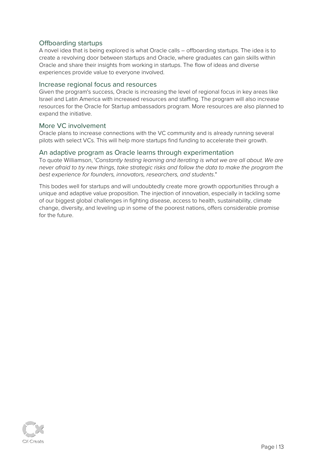### <span id="page-13-0"></span>Offboarding startups

A novel idea that is being explored is what Oracle calls – offboarding startups. The idea is to create a revolving door between startups and Oracle, where graduates can gain skills within Oracle and share their insights from working in startups. The flow of ideas and diverse experiences provide value to everyone involved.

#### <span id="page-13-1"></span>Increase regional focus and resources

Given the program's success, Oracle is increasing the level of regional focus in key areas like Israel and Latin America with increased resources and staffing. The program will also increase resources for the Oracle for Startup ambassadors program. More resources are also planned to expand the initiative.

#### <span id="page-13-2"></span>More VC involvement

Oracle plans to increase connections with the VC community and is already running several pilots with select VCs. This will help more startups find funding to accelerate their growth.

#### <span id="page-13-3"></span>An adaptive program as Oracle learns through experimentation

To quote Williamson, 'Constantly testing learning and iterating is what we are all about. We are never afraid to try new things, take strategic risks and follow the data to make the program the best experience for founders, innovators, researchers, and students."

This bodes well for startups and will undoubtedly create more growth opportunities through a unique and adaptive value proposition. The injection of innovation, especially in tackling some of our biggest global challenges in fighting disease, access to health, sustainability, climate change, diversity, and leveling up in some of the poorest nations, offers considerable promise for the future.